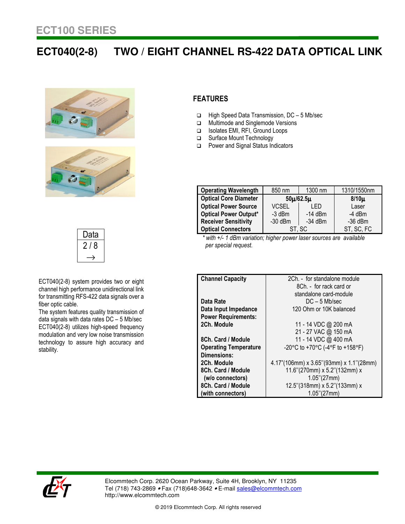## **ECT040(2-8) TWO / EIGHT CHANNEL RS-422 DATA OPTICAL LINK**







ECT040(2-8) system provides two or eight channel high performance unidirectional link for transmitting RFS-422 data signals over a fiber optic cable.

The system features quality transmission of data signals with data rates DC – 5 Mb/sec ECT040(2-8) utilizes high-speed frequency modulation and very low noise transmission technology to assure high accuracy and stability.

## **FEATURES**

- High Speed Data Transmission, DC 5 Mb/sec
- **In Multimode and Singlemode Versions**
- □ Isolates EMI, RFI, Ground Loops
- □ Surface Mount Technology
- □ Power and Signal Status Indicators

| <b>Operating Wavelength</b>  | 850 nm          | 1300 nm   | 1310/1550nm |
|------------------------------|-----------------|-----------|-------------|
| <b>Optical Core Diameter</b> | $50\mu/62.5\mu$ |           | $8/10\mu$   |
| <b>Optical Power Source</b>  | <b>VCSEL</b>    | I ED      | Laser       |
| <b>Optical Power Output*</b> | $-3$ dBm        | $-14$ dBm | $-4$ dBm    |
| <b>Receiver Sensitivity</b>  | $-30$ dBm       | $-34$ dBm | $-36$ dBm   |
| <b>Optical Connectors</b>    | ST, SC          |           | ST, SC, FC  |

 *\* with +/- 1 dBm variation; higher power laser sources are available per special request.* 

| <b>Channel Capacity</b>      | 2Ch. - for standalone module               |  |  |
|------------------------------|--------------------------------------------|--|--|
|                              | 8Ch. - for rack card or                    |  |  |
|                              | standalone card-module                     |  |  |
| Data Rate                    | $DC - 5$ Mb/sec                            |  |  |
| Data Input Impedance         | 120 Ohm or 10K balanced                    |  |  |
| <b>Power Requirements:</b>   |                                            |  |  |
| 2Ch. Module                  | 11 - 14 VDC @ 200 mA                       |  |  |
|                              | 21 - 27 VAC @ 150 mA                       |  |  |
| 8Ch. Card / Module           | 11 - 14 VDC @ 400 mA                       |  |  |
| <b>Operating Temperature</b> | -20°C to +70°C (-4°F to +158°F)            |  |  |
| Dimensions:                  |                                            |  |  |
| 2Ch. Module                  | $4.17$ "(106mm) x 3.65"(93mm) x 1.1"(28mm) |  |  |
| 8Ch. Card / Module           | 11.6"(270mm) x 5.2"(132mm) x               |  |  |
| (w/o connectors)             | $1.05$ "(27mm)                             |  |  |
| 8Ch. Card / Module           | 12.5"(318mm) x 5.2"(133mm) x               |  |  |
| (with connectors)            | $1.05$ "(27mm)                             |  |  |



Elcommtech Corp. 2620 Ocean Parkway, Suite 4H, Brooklyn, NY 11235 Tel (718) 743-2869 • Fax (718)648-3642 • E-mail sales@elcommtech.com http://www.elcommtech.com